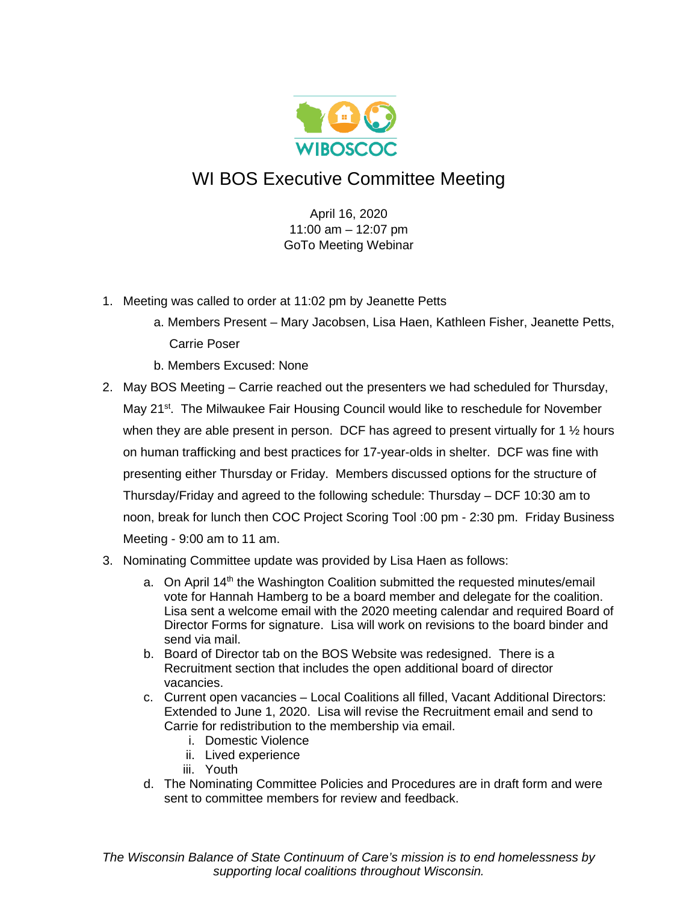

## WI BOS Executive Committee Meeting

April 16, 2020 11:00 am – 12:07 pm GoTo Meeting Webinar

- 1. Meeting was called to order at 11:02 pm by Jeanette Petts
	- a. Members Present Mary Jacobsen, Lisa Haen, Kathleen Fisher, Jeanette Petts, Carrie Poser
	- b. Members Excused: None
- 2. May BOS Meeting Carrie reached out the presenters we had scheduled for Thursday, May 21<sup>st</sup>. The Milwaukee Fair Housing Council would like to reschedule for November when they are able present in person. DCF has agreed to present virtually for 1  $\frac{1}{2}$  hours on human trafficking and best practices for 17-year-olds in shelter. DCF was fine with presenting either Thursday or Friday. Members discussed options for the structure of Thursday/Friday and agreed to the following schedule: Thursday – DCF 10:30 am to noon, break for lunch then COC Project Scoring Tool :00 pm - 2:30 pm. Friday Business Meeting - 9:00 am to 11 am.
- 3. Nominating Committee update was provided by Lisa Haen as follows:
	- a. On April 14<sup>th</sup> the Washington Coalition submitted the requested minutes/email vote for Hannah Hamberg to be a board member and delegate for the coalition. Lisa sent a welcome email with the 2020 meeting calendar and required Board of Director Forms for signature. Lisa will work on revisions to the board binder and send via mail.
	- b. Board of Director tab on the BOS Website was redesigned. There is a Recruitment section that includes the open additional board of director vacancies.
	- c. Current open vacancies Local Coalitions all filled, Vacant Additional Directors: Extended to June 1, 2020. Lisa will revise the Recruitment email and send to Carrie for redistribution to the membership via email.
		- i. Domestic Violence
		- ii. Lived experience
		- iii. Youth
	- d. The Nominating Committee Policies and Procedures are in draft form and were sent to committee members for review and feedback.

*The Wisconsin Balance of State Continuum of Care's mission is to end homelessness by supporting local coalitions throughout Wisconsin.*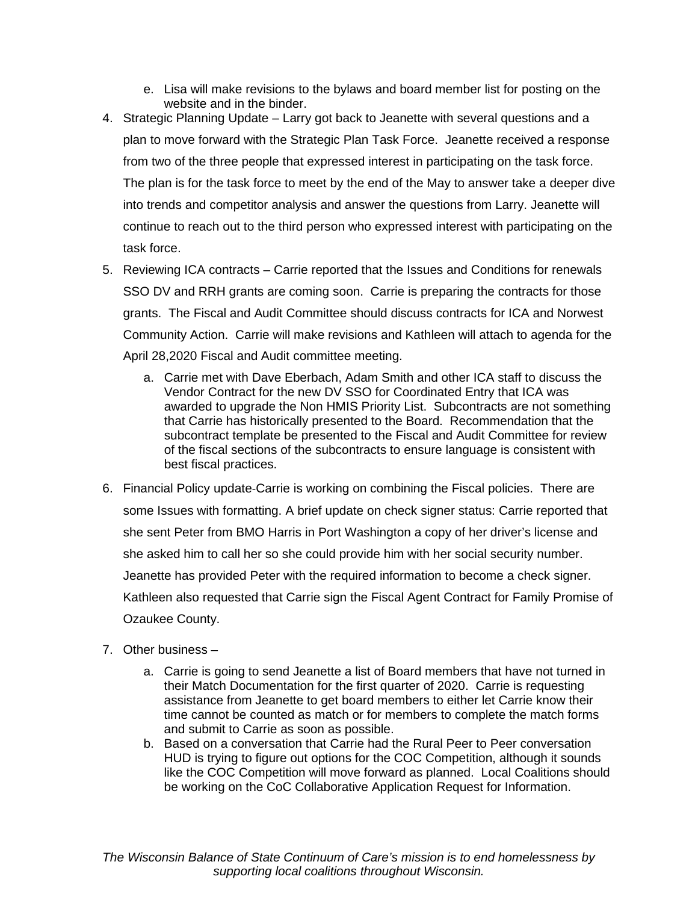- e. Lisa will make revisions to the bylaws and board member list for posting on the website and in the binder.
- 4. Strategic Planning Update Larry got back to Jeanette with several questions and a plan to move forward with the Strategic Plan Task Force. Jeanette received a response from two of the three people that expressed interest in participating on the task force. The plan is for the task force to meet by the end of the May to answer take a deeper dive into trends and competitor analysis and answer the questions from Larry. Jeanette will continue to reach out to the third person who expressed interest with participating on the task force.
- 5. Reviewing ICA contracts Carrie reported that the Issues and Conditions for renewals SSO DV and RRH grants are coming soon. Carrie is preparing the contracts for those grants. The Fiscal and Audit Committee should discuss contracts for ICA and Norwest Community Action. Carrie will make revisions and Kathleen will attach to agenda for the April 28,2020 Fiscal and Audit committee meeting.
	- a. Carrie met with Dave Eberbach, Adam Smith and other ICA staff to discuss the Vendor Contract for the new DV SSO for Coordinated Entry that ICA was awarded to upgrade the Non HMIS Priority List. Subcontracts are not something that Carrie has historically presented to the Board. Recommendation that the subcontract template be presented to the Fiscal and Audit Committee for review of the fiscal sections of the subcontracts to ensure language is consistent with best fiscal practices.
- 6. Financial Policy update-Carrie is working on combining the Fiscal policies. There are some Issues with formatting. A brief update on check signer status: Carrie reported that she sent Peter from BMO Harris in Port Washington a copy of her driver's license and she asked him to call her so she could provide him with her social security number. Jeanette has provided Peter with the required information to become a check signer. Kathleen also requested that Carrie sign the Fiscal Agent Contract for Family Promise of Ozaukee County.
- 7. Other business
	- a. Carrie is going to send Jeanette a list of Board members that have not turned in their Match Documentation for the first quarter of 2020. Carrie is requesting assistance from Jeanette to get board members to either let Carrie know their time cannot be counted as match or for members to complete the match forms and submit to Carrie as soon as possible.
	- b. Based on a conversation that Carrie had the Rural Peer to Peer conversation HUD is trying to figure out options for the COC Competition, although it sounds like the COC Competition will move forward as planned. Local Coalitions should be working on the CoC Collaborative Application Request for Information.

*The Wisconsin Balance of State Continuum of Care's mission is to end homelessness by supporting local coalitions throughout Wisconsin.*